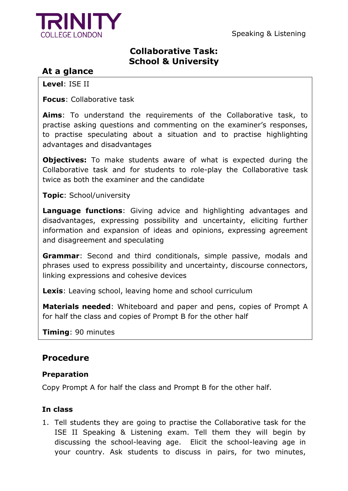

## **Collaborative Task: School & University**

# **At a glance**

**Level**: ISE II

**Focus**: Collaborative task

**Aims**: To understand the requirements of the Collaborative task, to practise asking questions and commenting on the examiner's responses, to practise speculating about a situation and to practise highlighting advantages and disadvantages

**Objectives:** To make students aware of what is expected during the Collaborative task and for students to role-play the Collaborative task twice as both the examiner and the candidate

**Topic**: School/university

**Language functions**: Giving advice and highlighting advantages and disadvantages, expressing possibility and uncertainty, eliciting further information and expansion of ideas and opinions, expressing agreement and disagreement and speculating

**Grammar**: Second and third conditionals, simple passive, modals and phrases used to express possibility and uncertainty, discourse connectors, linking expressions and cohesive devices

**Lexis**: Leaving school, leaving home and school curriculum

**Materials needed**: Whiteboard and paper and pens, copies of Prompt A for half the class and copies of Prompt B for the other half

**Timing**: 90 minutes

## **Procedure**

#### **Preparation**

Copy Prompt A for half the class and Prompt B for the other half.

### **In class**

1. Tell students they are going to practise the Collaborative task for the ISE II Speaking & Listening exam. Tell them they will begin by discussing the school-leaving age. Elicit the school-leaving age in your country. Ask students to discuss in pairs, for two minutes,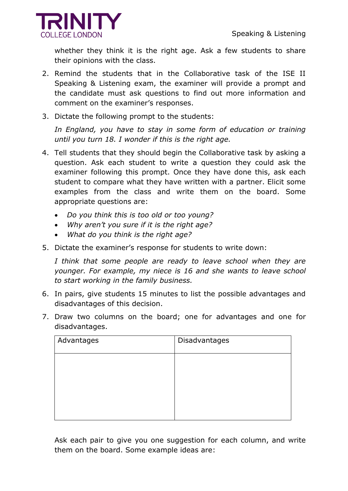

whether they think it is the right age. Ask a few students to share their opinions with the class.

- 2. Remind the students that in the Collaborative task of the ISE II Speaking & Listening exam, the examiner will provide a prompt and the candidate must ask questions to find out more information and comment on the examiner's responses.
- 3. Dictate the following prompt to the students:

In England, you have to stay in some form of education or training *until you turn 18. I wonder if this is the right age.* 

- 4. Tell students that they should begin the Collaborative task by asking a question. Ask each student to write a question they could ask the examiner following this prompt. Once they have done this, ask each student to compare what they have written with a partner. Elicit some examples from the class and write them on the board. Some appropriate questions are:
	- *Do you think this is too old or too young?*
	- *Why aren't you sure if it is the right age?*
	- *What do you think is the right age?*
- 5. Dictate the examiner's response for students to write down:

*I think that some people are ready to leave school when they are younger. For example, my niece is 16 and she wants to leave school to start working in the family business.*

- 6. In pairs, give students 15 minutes to list the possible advantages and disadvantages of this decision.
- 7. Draw two columns on the board; one for advantages and one for disadvantages.

| Advantages | Disadvantages |
|------------|---------------|
|            |               |
|            |               |
|            |               |
|            |               |
|            |               |

Ask each pair to give you one suggestion for each column, and write them on the board. Some example ideas are: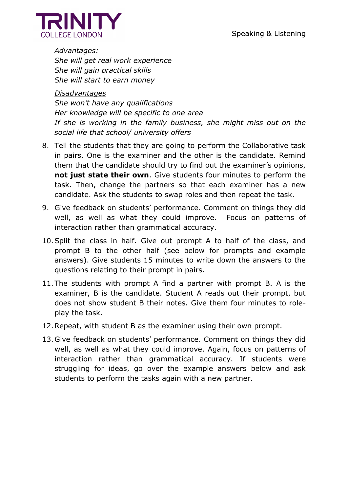

*Advantages: She will get real work experience She will gain practical skills She will start to earn money*

*Disadvantages She won't have any qualifications Her knowledge will be specific to one area If she is working in the family business, she might miss out on the social life that school/ university offers*

- 8. Tell the students that they are going to perform the Collaborative task in pairs. One is the examiner and the other is the candidate. Remind them that the candidate should try to find out the examiner's opinions, **not just state their own**. Give students four minutes to perform the task. Then, change the partners so that each examiner has a new candidate. Ask the students to swap roles and then repeat the task.
- 9. Give feedback on students' performance. Comment on things they did well, as well as what they could improve. Focus on patterns of interaction rather than grammatical accuracy.
- 10.Split the class in half. Give out prompt A to half of the class, and prompt B to the other half (see below for prompts and example answers). Give students 15 minutes to write down the answers to the questions relating to their prompt in pairs.
- 11.The students with prompt A find a partner with prompt B. A is the examiner, B is the candidate. Student A reads out their prompt, but does not show student B their notes. Give them four minutes to roleplay the task.
- 12.Repeat, with student B as the examiner using their own prompt.
- 13.Give feedback on students' performance. Comment on things they did well, as well as what they could improve. Again, focus on patterns of interaction rather than grammatical accuracy. If students were struggling for ideas, go over the example answers below and ask students to perform the tasks again with a new partner.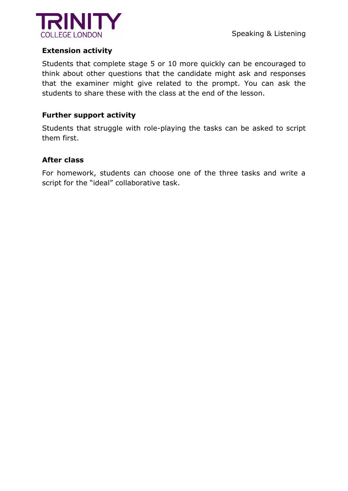

#### **Extension activity**

Students that complete stage 5 or 10 more quickly can be encouraged to think about other questions that the candidate might ask and responses that the examiner might give related to the prompt. You can ask the students to share these with the class at the end of the lesson.

#### **Further support activity**

Students that struggle with role-playing the tasks can be asked to script them first.

#### **After class**

For homework, students can choose one of the three tasks and write a script for the "ideal" collaborative task.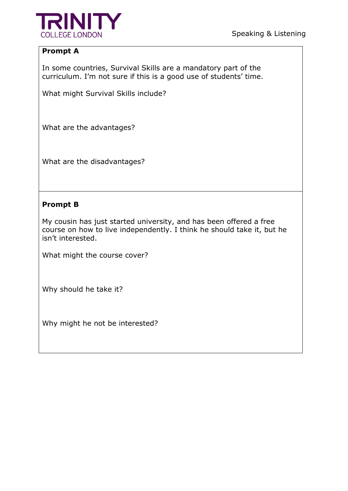

### **Prompt A**

In some countries, Survival Skills are a mandatory part of the curriculum. I'm not sure if this is a good use of students' time.

What might Survival Skills include?

What are the advantages?

What are the disadvantages?

#### **Prompt B**

My cousin has just started university, and has been offered a free course on how to live independently. I think he should take it, but he isn't interested.

What might the course cover?

Why should he take it?

Why might he not be interested?